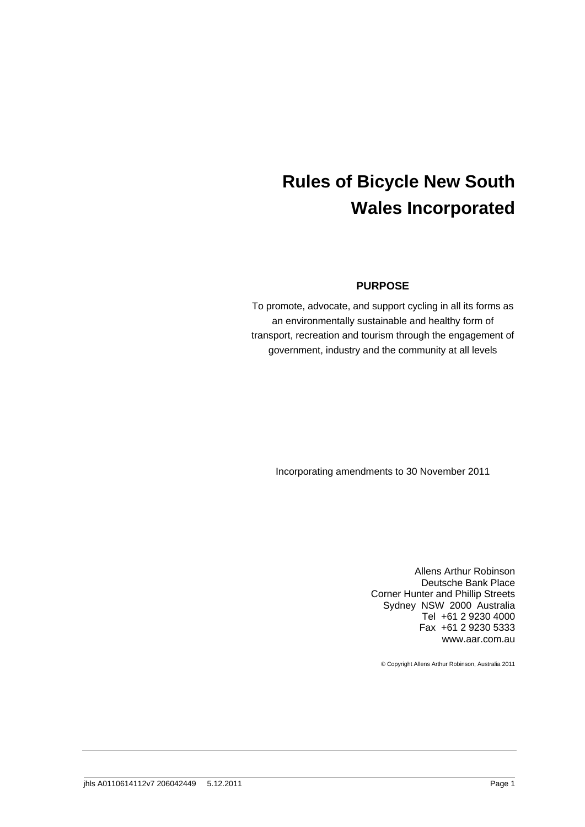# **Rules of Bicycle New South Wales Incorporated**

## **PURPOSE**

To promote, advocate, and support cycling in all its forms as an environmentally sustainable and healthy form of transport, recreation and tourism through the engagement of government, industry and the community at all levels

Incorporating amendments to 30 November 2011

Allens Arthur Robinson Deutsche Bank Place Corner Hunter and Phillip Streets Sydney NSW 2000 Australia Tel +61 2 9230 4000 Fax +61 2 9230 5333 www.aar.com.au

© Copyright Allens Arthur Robinson, Australia 2011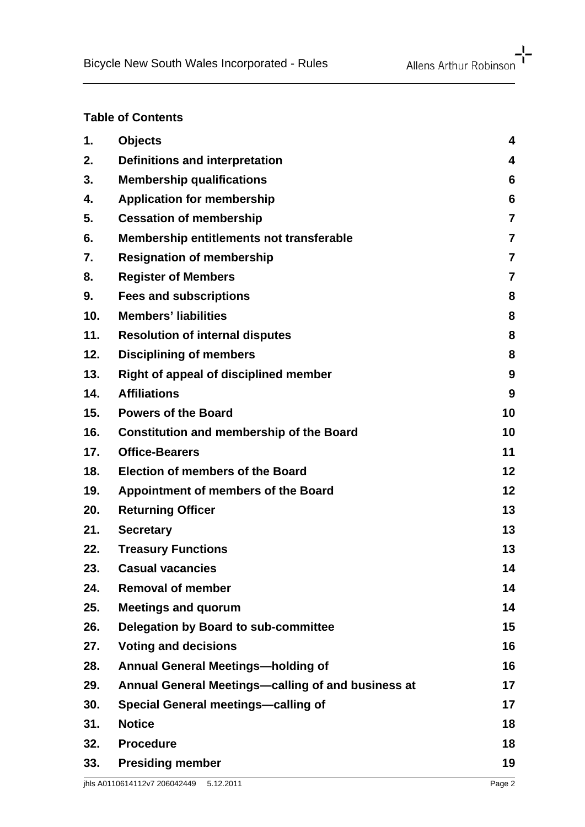# **Table of Contents**

| 1.  | <b>Objects</b>                                     | 4                       |
|-----|----------------------------------------------------|-------------------------|
| 2.  | <b>Definitions and interpretation</b>              | 4                       |
| 3.  | <b>Membership qualifications</b>                   | 6                       |
| 4.  | <b>Application for membership</b>                  | 6                       |
| 5.  | <b>Cessation of membership</b>                     | $\overline{7}$          |
| 6.  | Membership entitlements not transferable           | $\overline{\mathbf{r}}$ |
| 7.  | <b>Resignation of membership</b>                   | $\overline{7}$          |
| 8.  | <b>Register of Members</b>                         | $\overline{7}$          |
| 9.  | <b>Fees and subscriptions</b>                      | 8                       |
| 10. | <b>Members' liabilities</b>                        | 8                       |
| 11. | <b>Resolution of internal disputes</b>             | 8                       |
| 12. | <b>Disciplining of members</b>                     | 8                       |
| 13. | Right of appeal of disciplined member              | 9                       |
| 14. | <b>Affiliations</b>                                | 9                       |
| 15. | <b>Powers of the Board</b>                         | 10                      |
| 16. | <b>Constitution and membership of the Board</b>    | 10                      |
| 17. | <b>Office-Bearers</b>                              | 11                      |
| 18. | <b>Election of members of the Board</b>            | 12                      |
| 19. | Appointment of members of the Board                | 12                      |
| 20. | <b>Returning Officer</b>                           | 13                      |
| 21. | <b>Secretary</b>                                   | 13                      |
| 22. | <b>Treasury Functions</b>                          | 13                      |
| 23. | <b>Casual vacancies</b>                            | 14                      |
| 24. | <b>Removal of member</b>                           | 14                      |
| 25. | <b>Meetings and quorum</b>                         | 14                      |
| 26. | Delegation by Board to sub-committee               | 15                      |
| 27. | <b>Voting and decisions</b>                        | 16                      |
| 28. | <b>Annual General Meetings-holding of</b>          | 16                      |
| 29. | Annual General Meetings—calling of and business at | 17                      |
| 30. | <b>Special General meetings-calling of</b>         | 17                      |
| 31. | <b>Notice</b>                                      | 18                      |
| 32. | <b>Procedure</b>                                   | 18                      |
| 33. | <b>Presiding member</b>                            | 19                      |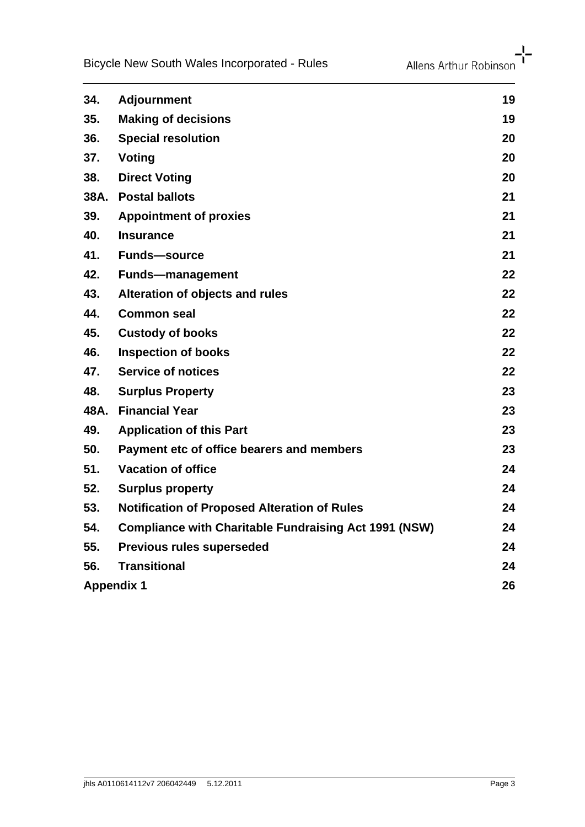| 34.               | <b>Adjournment</b>                                           | 19 |
|-------------------|--------------------------------------------------------------|----|
| 35.               | <b>Making of decisions</b>                                   | 19 |
| 36.               | <b>Special resolution</b>                                    | 20 |
| 37.               | <b>Voting</b>                                                | 20 |
| 38.               | <b>Direct Voting</b>                                         | 20 |
| 38A.              | <b>Postal ballots</b>                                        | 21 |
| 39.               | <b>Appointment of proxies</b>                                | 21 |
| 40.               | <b>Insurance</b>                                             | 21 |
| 41.               | <b>Funds-source</b>                                          | 21 |
| 42.               | <b>Funds-management</b>                                      | 22 |
| 43.               | Alteration of objects and rules                              | 22 |
| 44.               | <b>Common seal</b>                                           | 22 |
| 45.               | <b>Custody of books</b>                                      | 22 |
| 46.               | <b>Inspection of books</b>                                   | 22 |
| 47.               | <b>Service of notices</b>                                    | 22 |
| 48.               | <b>Surplus Property</b>                                      | 23 |
| 48A.              | <b>Financial Year</b>                                        | 23 |
| 49.               | <b>Application of this Part</b>                              | 23 |
| 50.               | Payment etc of office bearers and members                    | 23 |
| 51.               | <b>Vacation of office</b>                                    | 24 |
| 52.               | <b>Surplus property</b>                                      | 24 |
| 53.               | <b>Notification of Proposed Alteration of Rules</b>          | 24 |
| 54.               | <b>Compliance with Charitable Fundraising Act 1991 (NSW)</b> | 24 |
| 55.               | <b>Previous rules superseded</b>                             | 24 |
| 56.               | <b>Transitional</b>                                          | 24 |
| <b>Appendix 1</b> |                                                              | 26 |
|                   |                                                              |    |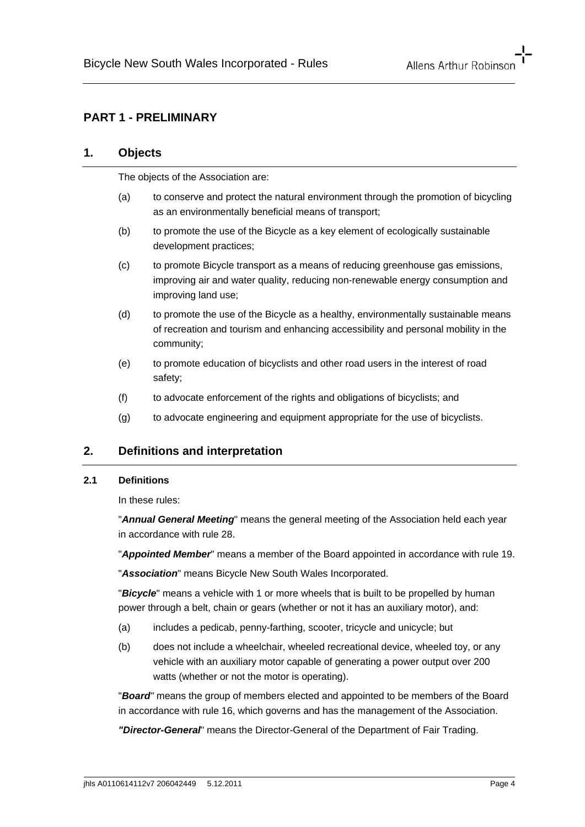# **PART 1 - PRELIMINARY**

#### **1. Objects**

The objects of the Association are:

- (a) to conserve and protect the natural environment through the promotion of bicycling as an environmentally beneficial means of transport;
- (b) to promote the use of the Bicycle as a key element of ecologically sustainable development practices;
- (c) to promote Bicycle transport as a means of reducing greenhouse gas emissions, improving air and water quality, reducing non-renewable energy consumption and improving land use;
- (d) to promote the use of the Bicycle as a healthy, environmentally sustainable means of recreation and tourism and enhancing accessibility and personal mobility in the community;
- (e) to promote education of bicyclists and other road users in the interest of road safety;
- (f) to advocate enforcement of the rights and obligations of bicyclists; and
- (g) to advocate engineering and equipment appropriate for the use of bicyclists.

# **2. Definitions and interpretation**

#### **2.1 Definitions**

In these rules:

"*Annual General Meeting*" means the general meeting of the Association held each year in accordance with rule 28.

"*Appointed Member*" means a member of the Board appointed in accordance with rule 19.

"*Association*" means Bicycle New South Wales Incorporated.

"*Bicycle*" means a vehicle with 1 or more wheels that is built to be propelled by human power through a belt, chain or gears (whether or not it has an auxiliary motor), and:

- (a) includes a pedicab, penny-farthing, scooter, tricycle and unicycle; but
- (b) does not include a wheelchair, wheeled recreational device, wheeled toy, or any vehicle with an auxiliary motor capable of generating a power output over 200 watts (whether or not the motor is operating).

"*Board"* means the group of members elected and appointed to be members of the Board in accordance with rule 16, which governs and has the management of the Association.

*"Director-General*" means the Director-General of the Department of Fair Trading.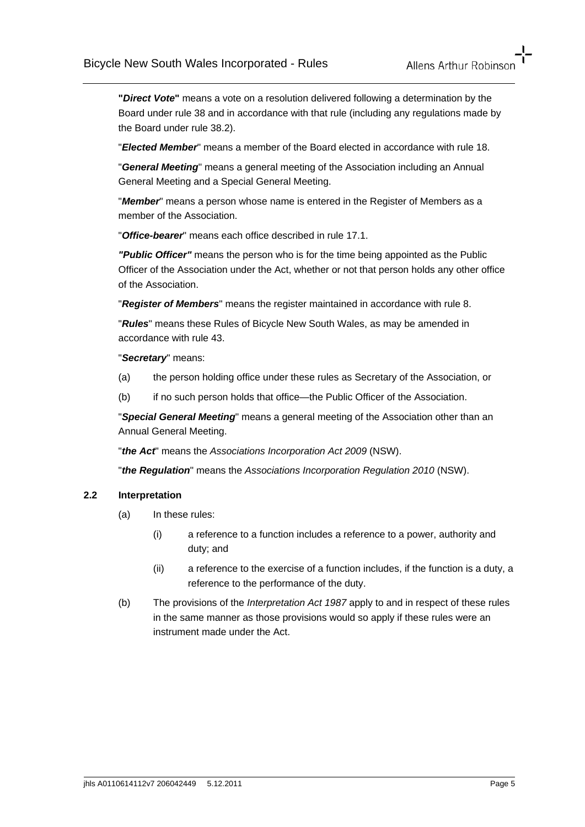**"***Direct Vote***"** means a vote on a resolution delivered following a determination by the Board under rule 38 and in accordance with that rule (including any regulations made by the Board under rule 38.2).

"*Elected Member*" means a member of the Board elected in accordance with rule 18.

"*General Meeting*" means a general meeting of the Association including an Annual General Meeting and a Special General Meeting.

"*Member*" means a person whose name is entered in the Register of Members as a member of the Association.

"*Office-bearer*" means each office described in rule 17.1.

*"Public Officer"* means the person who is for the time being appointed as the Public Officer of the Association under the Act, whether or not that person holds any other office of the Association.

"*Register of Members*" means the register maintained in accordance with rule 8.

"*Rules*" means these Rules of Bicycle New South Wales, as may be amended in accordance with rule 43.

"*Secretary*" means:

(a) the person holding office under these rules as Secretary of the Association, or

(b) if no such person holds that office—the Public Officer of the Association.

"*Special General Meeting*" means a general meeting of the Association other than an Annual General Meeting.

"*the Act*" means the *Associations Incorporation Act 2009* (NSW).

"*the Regulation*" means the *Associations Incorporation Regulation 2010* (NSW).

#### **2.2 Interpretation**

- (a) In these rules:
	- (i) a reference to a function includes a reference to a power, authority and duty; and
	- (ii) a reference to the exercise of a function includes, if the function is a duty, a reference to the performance of the duty.
- (b) The provisions of the *Interpretation Act 1987* apply to and in respect of these rules in the same manner as those provisions would so apply if these rules were an instrument made under the Act.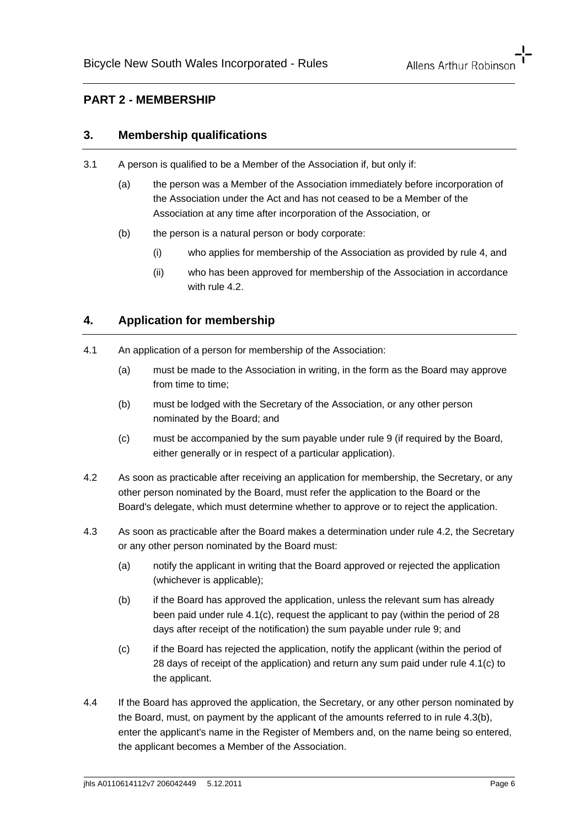# **PART 2 - MEMBERSHIP**

#### **3. Membership qualifications**

- 3.1 A person is qualified to be a Member of the Association if, but only if:
	- (a) the person was a Member of the Association immediately before incorporation of the Association under the Act and has not ceased to be a Member of the Association at any time after incorporation of the Association, or
	- (b) the person is a natural person or body corporate:
		- (i) who applies for membership of the Association as provided by rule 4, and
		- (ii) who has been approved for membership of the Association in accordance with rule 4.2

# **4. Application for membership**

- 4.1 An application of a person for membership of the Association:
	- (a) must be made to the Association in writing, in the form as the Board may approve from time to time:
	- (b) must be lodged with the Secretary of the Association, or any other person nominated by the Board; and
	- (c) must be accompanied by the sum payable under rule 9 (if required by the Board, either generally or in respect of a particular application).
- 4.2 As soon as practicable after receiving an application for membership, the Secretary, or any other person nominated by the Board, must refer the application to the Board or the Board's delegate, which must determine whether to approve or to reject the application.
- 4.3 As soon as practicable after the Board makes a determination under rule 4.2, the Secretary or any other person nominated by the Board must:
	- (a) notify the applicant in writing that the Board approved or rejected the application (whichever is applicable);
	- (b) if the Board has approved the application, unless the relevant sum has already been paid under rule 4.1(c), request the applicant to pay (within the period of 28 days after receipt of the notification) the sum payable under rule 9; and
	- (c) if the Board has rejected the application, notify the applicant (within the period of 28 days of receipt of the application) and return any sum paid under rule 4.1(c) to the applicant.
- 4.4 If the Board has approved the application, the Secretary, or any other person nominated by the Board, must, on payment by the applicant of the amounts referred to in rule 4.3(b), enter the applicant's name in the Register of Members and, on the name being so entered, the applicant becomes a Member of the Association.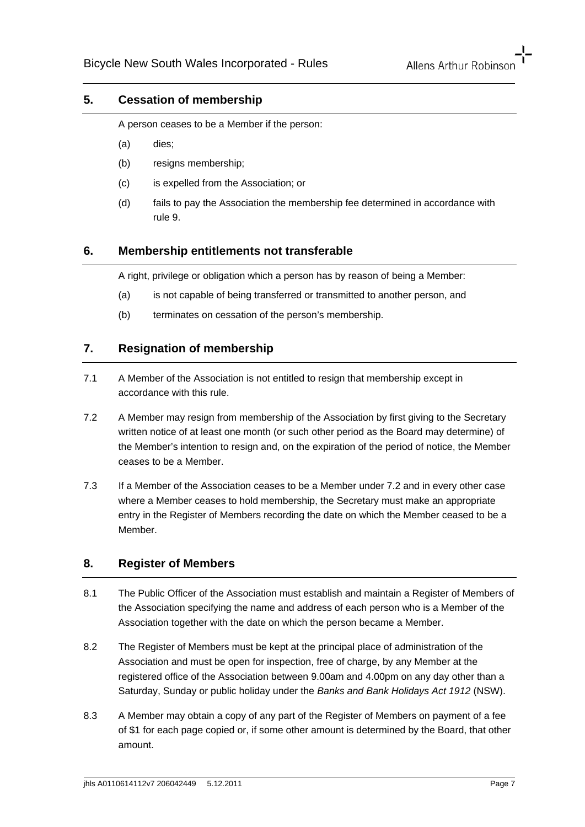### **5. Cessation of membership**

A person ceases to be a Member if the person:

- (a) dies;
- (b) resigns membership;
- (c) is expelled from the Association; or
- (d) fails to pay the Association the membership fee determined in accordance with rule 9.

### **6. Membership entitlements not transferable**

A right, privilege or obligation which a person has by reason of being a Member:

- (a) is not capable of being transferred or transmitted to another person, and
- (b) terminates on cessation of the person's membership.

# **7. Resignation of membership**

- 7.1 A Member of the Association is not entitled to resign that membership except in accordance with this rule.
- 7.2 A Member may resign from membership of the Association by first giving to the Secretary written notice of at least one month (or such other period as the Board may determine) of the Member's intention to resign and, on the expiration of the period of notice, the Member ceases to be a Member.
- 7.3 If a Member of the Association ceases to be a Member under 7.2 and in every other case where a Member ceases to hold membership, the Secretary must make an appropriate entry in the Register of Members recording the date on which the Member ceased to be a Member.

#### **8. Register of Members**

- 8.1 The Public Officer of the Association must establish and maintain a Register of Members of the Association specifying the name and address of each person who is a Member of the Association together with the date on which the person became a Member.
- 8.2 The Register of Members must be kept at the principal place of administration of the Association and must be open for inspection, free of charge, by any Member at the registered office of the Association between 9.00am and 4.00pm on any day other than a Saturday, Sunday or public holiday under the *Banks and Bank Holidays Act 1912* (NSW).
- 8.3 A Member may obtain a copy of any part of the Register of Members on payment of a fee of \$1 for each page copied or, if some other amount is determined by the Board, that other amount.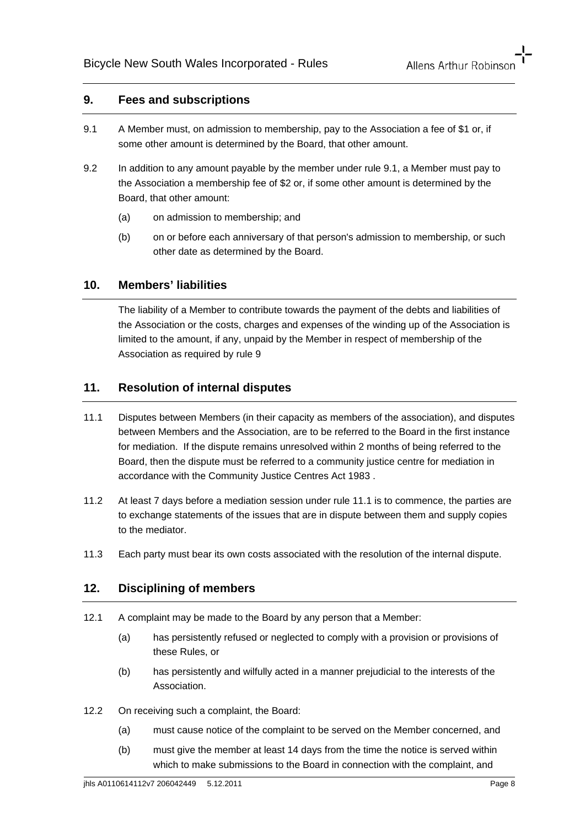#### **9. Fees and subscriptions**

- 9.1 A Member must, on admission to membership, pay to the Association a fee of \$1 or, if some other amount is determined by the Board, that other amount.
- 9.2 In addition to any amount payable by the member under rule 9.1, a Member must pay to the Association a membership fee of \$2 or, if some other amount is determined by the Board, that other amount:
	- (a) on admission to membership; and
	- (b) on or before each anniversary of that person's admission to membership, or such other date as determined by the Board.

## **10. Members' liabilities**

The liability of a Member to contribute towards the payment of the debts and liabilities of the Association or the costs, charges and expenses of the winding up of the Association is limited to the amount, if any, unpaid by the Member in respect of membership of the Association as required by rule 9

### **11. Resolution of internal disputes**

- 11.1 Disputes between Members (in their capacity as members of the association), and disputes between Members and the Association, are to be referred to the Board in the first instance for mediation. If the dispute remains unresolved within 2 months of being referred to the Board, then the dispute must be referred to a community justice centre for mediation in accordance with the Community Justice Centres Act 1983 .
- 11.2 At least 7 days before a mediation session under rule 11.1 is to commence, the parties are to exchange statements of the issues that are in dispute between them and supply copies to the mediator.
- 11.3 Each party must bear its own costs associated with the resolution of the internal dispute.

#### **12. Disciplining of members**

- 12.1 A complaint may be made to the Board by any person that a Member:
	- (a) has persistently refused or neglected to comply with a provision or provisions of these Rules, or
	- (b) has persistently and wilfully acted in a manner prejudicial to the interests of the Association.
- 12.2 On receiving such a complaint, the Board:
	- (a) must cause notice of the complaint to be served on the Member concerned, and
	- (b) must give the member at least 14 days from the time the notice is served within which to make submissions to the Board in connection with the complaint, and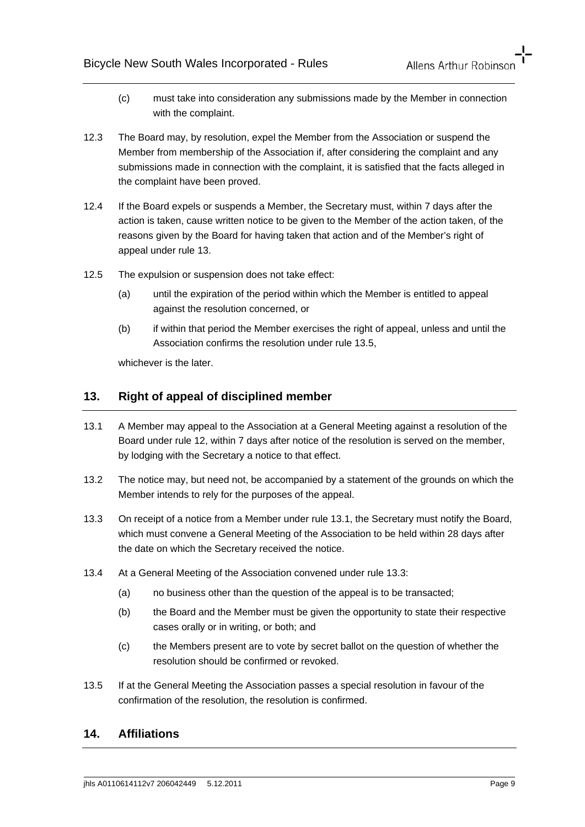- (c) must take into consideration any submissions made by the Member in connection with the complaint.
- 12.3 The Board may, by resolution, expel the Member from the Association or suspend the Member from membership of the Association if, after considering the complaint and any submissions made in connection with the complaint, it is satisfied that the facts alleged in the complaint have been proved.
- 12.4 If the Board expels or suspends a Member, the Secretary must, within 7 days after the action is taken, cause written notice to be given to the Member of the action taken, of the reasons given by the Board for having taken that action and of the Member's right of appeal under rule 13.
- 12.5 The expulsion or suspension does not take effect:
	- (a) until the expiration of the period within which the Member is entitled to appeal against the resolution concerned, or
	- (b) if within that period the Member exercises the right of appeal, unless and until the Association confirms the resolution under rule 13.5,

whichever is the later

# **13. Right of appeal of disciplined member**

- 13.1 A Member may appeal to the Association at a General Meeting against a resolution of the Board under rule 12, within 7 days after notice of the resolution is served on the member, by lodging with the Secretary a notice to that effect.
- 13.2 The notice may, but need not, be accompanied by a statement of the grounds on which the Member intends to rely for the purposes of the appeal.
- 13.3 On receipt of a notice from a Member under rule 13.1, the Secretary must notify the Board, which must convene a General Meeting of the Association to be held within 28 days after the date on which the Secretary received the notice.
- 13.4 At a General Meeting of the Association convened under rule 13.3:
	- (a) no business other than the question of the appeal is to be transacted;
	- (b) the Board and the Member must be given the opportunity to state their respective cases orally or in writing, or both; and
	- (c) the Members present are to vote by secret ballot on the question of whether the resolution should be confirmed or revoked.
- 13.5 If at the General Meeting the Association passes a special resolution in favour of the confirmation of the resolution, the resolution is confirmed.

#### **14. Affiliations**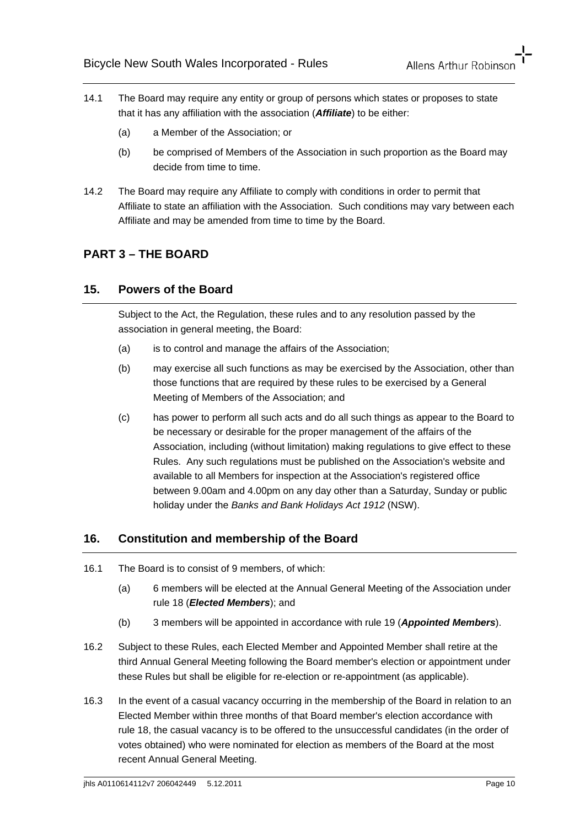- 14.1 The Board may require any entity or group of persons which states or proposes to state that it has any affiliation with the association (*Affiliate*) to be either:
	- (a) a Member of the Association; or
	- (b) be comprised of Members of the Association in such proportion as the Board may decide from time to time.
- 14.2 The Board may require any Affiliate to comply with conditions in order to permit that Affiliate to state an affiliation with the Association. Such conditions may vary between each Affiliate and may be amended from time to time by the Board.

# **PART 3 – THE BOARD**

#### **15. Powers of the Board**

Subject to the Act, the Regulation, these rules and to any resolution passed by the association in general meeting, the Board:

- (a) is to control and manage the affairs of the Association;
- (b) may exercise all such functions as may be exercised by the Association, other than those functions that are required by these rules to be exercised by a General Meeting of Members of the Association; and
- (c) has power to perform all such acts and do all such things as appear to the Board to be necessary or desirable for the proper management of the affairs of the Association, including (without limitation) making regulations to give effect to these Rules. Any such regulations must be published on the Association's website and available to all Members for inspection at the Association's registered office between 9.00am and 4.00pm on any day other than a Saturday, Sunday or public holiday under the *Banks and Bank Holidays Act 1912* (NSW).

#### **16. Constitution and membership of the Board**

- 16.1 The Board is to consist of 9 members, of which:
	- (a) 6 members will be elected at the Annual General Meeting of the Association under rule 18 (*Elected Members*); and
	- (b) 3 members will be appointed in accordance with rule 19 (*Appointed Members*).
- 16.2 Subject to these Rules, each Elected Member and Appointed Member shall retire at the third Annual General Meeting following the Board member's election or appointment under these Rules but shall be eligible for re-election or re-appointment (as applicable).
- 16.3 In the event of a casual vacancy occurring in the membership of the Board in relation to an Elected Member within three months of that Board member's election accordance with rule 18, the casual vacancy is to be offered to the unsuccessful candidates (in the order of votes obtained) who were nominated for election as members of the Board at the most recent Annual General Meeting.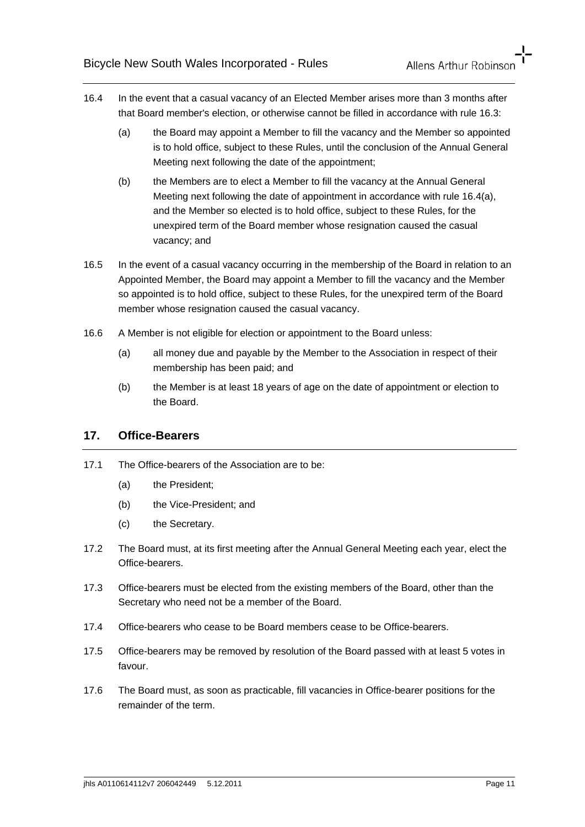- 16.4 In the event that a casual vacancy of an Elected Member arises more than 3 months after that Board member's election, or otherwise cannot be filled in accordance with rule 16.3:
	- (a) the Board may appoint a Member to fill the vacancy and the Member so appointed is to hold office, subject to these Rules, until the conclusion of the Annual General Meeting next following the date of the appointment;
	- (b) the Members are to elect a Member to fill the vacancy at the Annual General Meeting next following the date of appointment in accordance with rule 16.4(a), and the Member so elected is to hold office, subject to these Rules, for the unexpired term of the Board member whose resignation caused the casual vacancy; and
- 16.5 In the event of a casual vacancy occurring in the membership of the Board in relation to an Appointed Member, the Board may appoint a Member to fill the vacancy and the Member so appointed is to hold office, subject to these Rules, for the unexpired term of the Board member whose resignation caused the casual vacancy.
- 16.6 A Member is not eligible for election or appointment to the Board unless:
	- (a) all money due and payable by the Member to the Association in respect of their membership has been paid; and
	- (b) the Member is at least 18 years of age on the date of appointment or election to the Board.

# **17. Office-Bearers**

- 17.1 The Office-bearers of the Association are to be:
	- (a) the President;
	- (b) the Vice-President; and
	- (c) the Secretary.
- 17.2 The Board must, at its first meeting after the Annual General Meeting each year, elect the Office-bearers.
- 17.3 Office-bearers must be elected from the existing members of the Board, other than the Secretary who need not be a member of the Board.
- 17.4 Office-bearers who cease to be Board members cease to be Office-bearers.
- 17.5 Office-bearers may be removed by resolution of the Board passed with at least 5 votes in favour.
- 17.6 The Board must, as soon as practicable, fill vacancies in Office-bearer positions for the remainder of the term.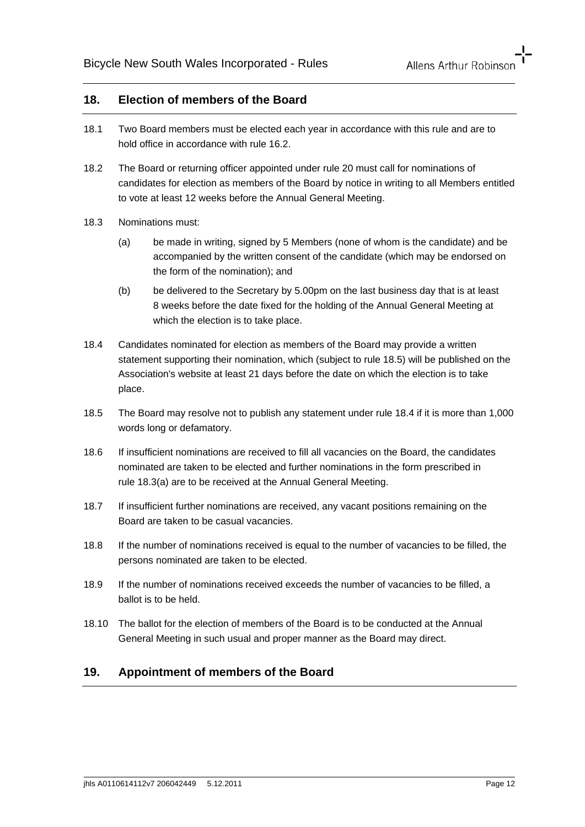#### **18. Election of members of the Board**

- 18.1 Two Board members must be elected each year in accordance with this rule and are to hold office in accordance with rule 16.2.
- 18.2 The Board or returning officer appointed under rule 20 must call for nominations of candidates for election as members of the Board by notice in writing to all Members entitled to vote at least 12 weeks before the Annual General Meeting.
- 18.3 Nominations must:
	- (a) be made in writing, signed by 5 Members (none of whom is the candidate) and be accompanied by the written consent of the candidate (which may be endorsed on the form of the nomination); and
	- (b) be delivered to the Secretary by 5.00pm on the last business day that is at least 8 weeks before the date fixed for the holding of the Annual General Meeting at which the election is to take place.
- 18.4 Candidates nominated for election as members of the Board may provide a written statement supporting their nomination, which (subject to rule 18.5) will be published on the Association's website at least 21 days before the date on which the election is to take place.
- 18.5 The Board may resolve not to publish any statement under rule 18.4 if it is more than 1,000 words long or defamatory.
- 18.6 If insufficient nominations are received to fill all vacancies on the Board, the candidates nominated are taken to be elected and further nominations in the form prescribed in rule 18.3(a) are to be received at the Annual General Meeting.
- 18.7 If insufficient further nominations are received, any vacant positions remaining on the Board are taken to be casual vacancies.
- 18.8 If the number of nominations received is equal to the number of vacancies to be filled, the persons nominated are taken to be elected.
- 18.9 If the number of nominations received exceeds the number of vacancies to be filled, a ballot is to be held.
- 18.10 The ballot for the election of members of the Board is to be conducted at the Annual General Meeting in such usual and proper manner as the Board may direct.

## **19. Appointment of members of the Board**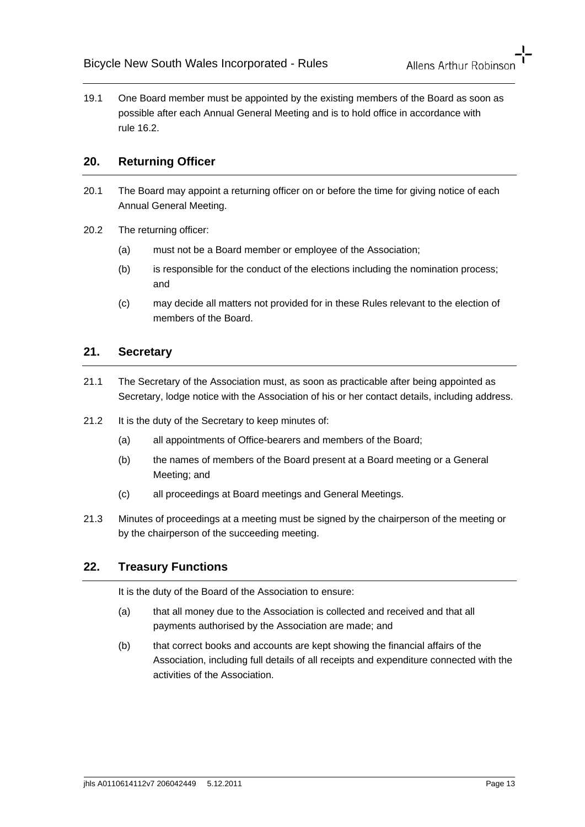19.1 One Board member must be appointed by the existing members of the Board as soon as possible after each Annual General Meeting and is to hold office in accordance with rule 16.2.

# **20. Returning Officer**

- 20.1 The Board may appoint a returning officer on or before the time for giving notice of each Annual General Meeting.
- 20.2 The returning officer:
	- (a) must not be a Board member or employee of the Association;
	- (b) is responsible for the conduct of the elections including the nomination process; and
	- (c) may decide all matters not provided for in these Rules relevant to the election of members of the Board.

### **21. Secretary**

- 21.1 The Secretary of the Association must, as soon as practicable after being appointed as Secretary, lodge notice with the Association of his or her contact details, including address.
- 21.2 It is the duty of the Secretary to keep minutes of:
	- (a) all appointments of Office-bearers and members of the Board;
	- (b) the names of members of the Board present at a Board meeting or a General Meeting; and
	- (c) all proceedings at Board meetings and General Meetings.
- 21.3 Minutes of proceedings at a meeting must be signed by the chairperson of the meeting or by the chairperson of the succeeding meeting.

# **22. Treasury Functions**

It is the duty of the Board of the Association to ensure:

- (a) that all money due to the Association is collected and received and that all payments authorised by the Association are made; and
- (b) that correct books and accounts are kept showing the financial affairs of the Association, including full details of all receipts and expenditure connected with the activities of the Association.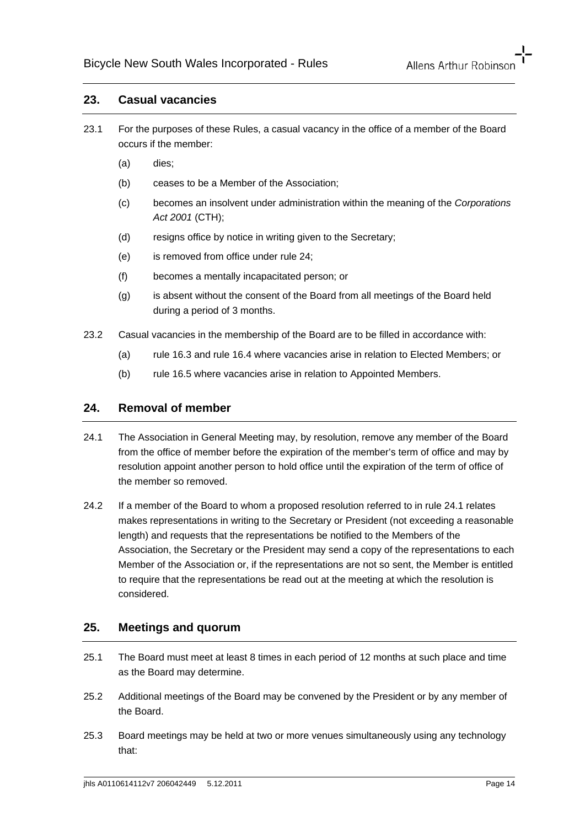#### **23. Casual vacancies**

- 23.1 For the purposes of these Rules, a casual vacancy in the office of a member of the Board occurs if the member:
	- (a) dies;
	- (b) ceases to be a Member of the Association;
	- (c) becomes an insolvent under administration within the meaning of the *Corporations Act 2001* (CTH);
	- (d) resigns office by notice in writing given to the Secretary;
	- (e) is removed from office under rule 24;
	- (f) becomes a mentally incapacitated person; or
	- (g) is absent without the consent of the Board from all meetings of the Board held during a period of 3 months.
- 23.2 Casual vacancies in the membership of the Board are to be filled in accordance with:
	- (a) rule 16.3 and rule 16.4 where vacancies arise in relation to Elected Members; or
	- (b) rule 16.5 where vacancies arise in relation to Appointed Members.

### **24. Removal of member**

- 24.1 The Association in General Meeting may, by resolution, remove any member of the Board from the office of member before the expiration of the member's term of office and may by resolution appoint another person to hold office until the expiration of the term of office of the member so removed.
- 24.2 If a member of the Board to whom a proposed resolution referred to in rule 24.1 relates makes representations in writing to the Secretary or President (not exceeding a reasonable length) and requests that the representations be notified to the Members of the Association, the Secretary or the President may send a copy of the representations to each Member of the Association or, if the representations are not so sent, the Member is entitled to require that the representations be read out at the meeting at which the resolution is considered.

# **25. Meetings and quorum**

- 25.1 The Board must meet at least 8 times in each period of 12 months at such place and time as the Board may determine.
- 25.2 Additional meetings of the Board may be convened by the President or by any member of the Board.
- 25.3 Board meetings may be held at two or more venues simultaneously using any technology that: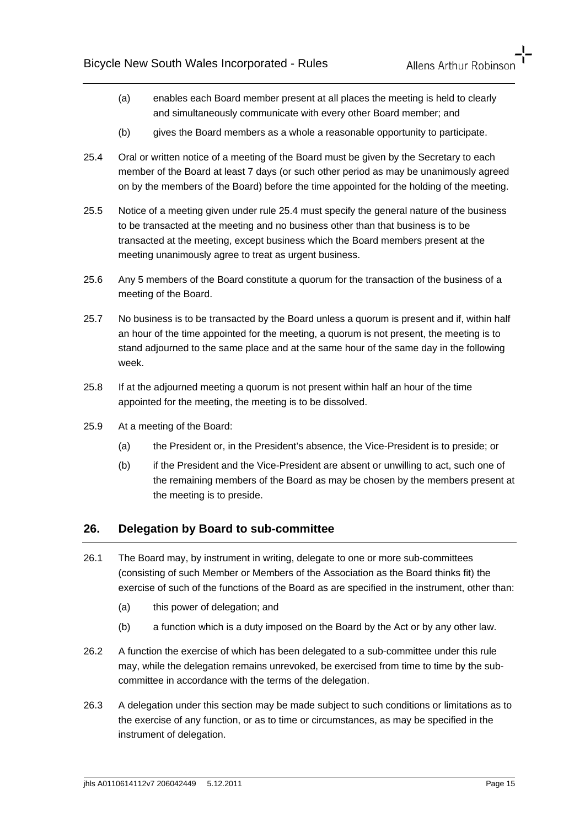- (a) enables each Board member present at all places the meeting is held to clearly and simultaneously communicate with every other Board member; and
- (b) gives the Board members as a whole a reasonable opportunity to participate.
- 25.4 Oral or written notice of a meeting of the Board must be given by the Secretary to each member of the Board at least 7 days (or such other period as may be unanimously agreed on by the members of the Board) before the time appointed for the holding of the meeting.
- 25.5 Notice of a meeting given under rule 25.4 must specify the general nature of the business to be transacted at the meeting and no business other than that business is to be transacted at the meeting, except business which the Board members present at the meeting unanimously agree to treat as urgent business.
- 25.6 Any 5 members of the Board constitute a quorum for the transaction of the business of a meeting of the Board.
- 25.7 No business is to be transacted by the Board unless a quorum is present and if, within half an hour of the time appointed for the meeting, a quorum is not present, the meeting is to stand adjourned to the same place and at the same hour of the same day in the following week.
- 25.8 If at the adjourned meeting a quorum is not present within half an hour of the time appointed for the meeting, the meeting is to be dissolved.
- 25.9 At a meeting of the Board:
	- (a) the President or, in the President's absence, the Vice-President is to preside; or
	- (b) if the President and the Vice-President are absent or unwilling to act, such one of the remaining members of the Board as may be chosen by the members present at the meeting is to preside.

#### **26. Delegation by Board to sub-committee**

- 26.1 The Board may, by instrument in writing, delegate to one or more sub-committees (consisting of such Member or Members of the Association as the Board thinks fit) the exercise of such of the functions of the Board as are specified in the instrument, other than:
	- (a) this power of delegation; and
	- (b) a function which is a duty imposed on the Board by the Act or by any other law.
- 26.2 A function the exercise of which has been delegated to a sub-committee under this rule may, while the delegation remains unrevoked, be exercised from time to time by the subcommittee in accordance with the terms of the delegation.
- 26.3 A delegation under this section may be made subject to such conditions or limitations as to the exercise of any function, or as to time or circumstances, as may be specified in the instrument of delegation.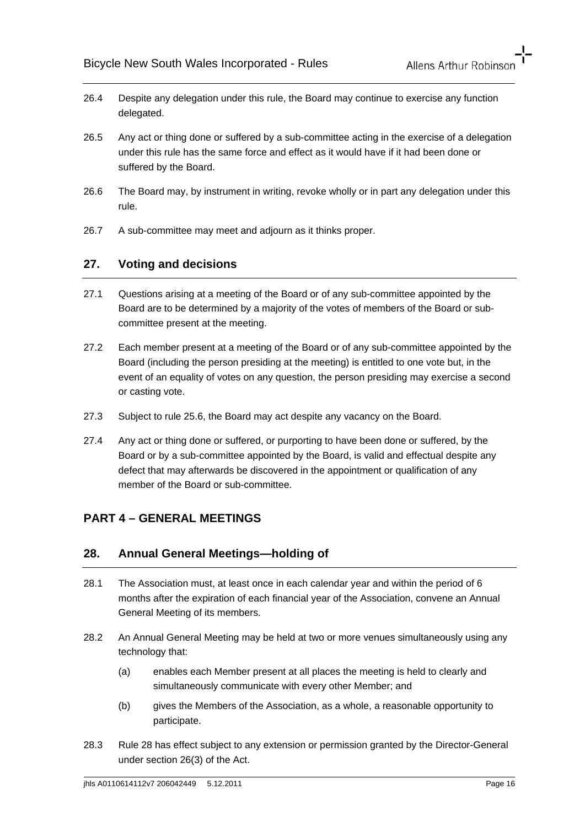- 26.4 Despite any delegation under this rule, the Board may continue to exercise any function delegated.
- 26.5 Any act or thing done or suffered by a sub-committee acting in the exercise of a delegation under this rule has the same force and effect as it would have if it had been done or suffered by the Board.
- 26.6 The Board may, by instrument in writing, revoke wholly or in part any delegation under this rule.
- 26.7 A sub-committee may meet and adjourn as it thinks proper.

# **27. Voting and decisions**

- 27.1 Questions arising at a meeting of the Board or of any sub-committee appointed by the Board are to be determined by a majority of the votes of members of the Board or subcommittee present at the meeting.
- 27.2 Each member present at a meeting of the Board or of any sub-committee appointed by the Board (including the person presiding at the meeting) is entitled to one vote but, in the event of an equality of votes on any question, the person presiding may exercise a second or casting vote.
- 27.3 Subject to rule 25.6, the Board may act despite any vacancy on the Board.
- 27.4 Any act or thing done or suffered, or purporting to have been done or suffered, by the Board or by a sub-committee appointed by the Board, is valid and effectual despite any defect that may afterwards be discovered in the appointment or qualification of any member of the Board or sub-committee.

# **PART 4 – GENERAL MEETINGS**

# **28. Annual General Meetings—holding of**

- 28.1 The Association must, at least once in each calendar year and within the period of 6 months after the expiration of each financial year of the Association, convene an Annual General Meeting of its members.
- 28.2 An Annual General Meeting may be held at two or more venues simultaneously using any technology that:
	- (a) enables each Member present at all places the meeting is held to clearly and simultaneously communicate with every other Member; and
	- (b) gives the Members of the Association, as a whole, a reasonable opportunity to participate.
- 28.3 Rule 28 has effect subject to any extension or permission granted by the Director-General under section 26(3) of the Act.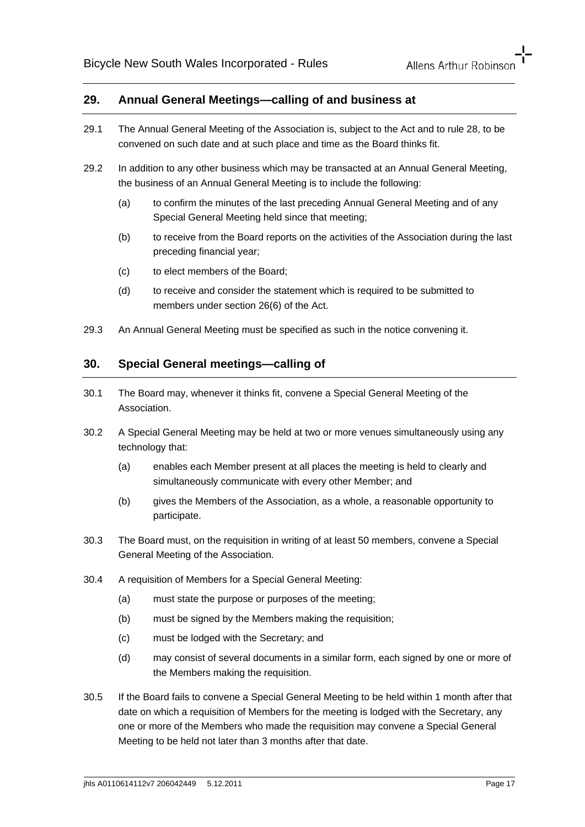### **29. Annual General Meetings—calling of and business at**

- 29.1 The Annual General Meeting of the Association is, subject to the Act and to rule 28, to be convened on such date and at such place and time as the Board thinks fit.
- 29.2 In addition to any other business which may be transacted at an Annual General Meeting, the business of an Annual General Meeting is to include the following:
	- (a) to confirm the minutes of the last preceding Annual General Meeting and of any Special General Meeting held since that meeting;
	- (b) to receive from the Board reports on the activities of the Association during the last preceding financial year;
	- (c) to elect members of the Board;
	- (d) to receive and consider the statement which is required to be submitted to members under section 26(6) of the Act.
- 29.3 An Annual General Meeting must be specified as such in the notice convening it.

# **30. Special General meetings—calling of**

- 30.1 The Board may, whenever it thinks fit, convene a Special General Meeting of the Association.
- 30.2 A Special General Meeting may be held at two or more venues simultaneously using any technology that:
	- (a) enables each Member present at all places the meeting is held to clearly and simultaneously communicate with every other Member; and
	- (b) gives the Members of the Association, as a whole, a reasonable opportunity to participate.
- 30.3 The Board must, on the requisition in writing of at least 50 members, convene a Special General Meeting of the Association.
- 30.4 A requisition of Members for a Special General Meeting:
	- (a) must state the purpose or purposes of the meeting;
	- (b) must be signed by the Members making the requisition;
	- (c) must be lodged with the Secretary; and
	- (d) may consist of several documents in a similar form, each signed by one or more of the Members making the requisition.
- 30.5 If the Board fails to convene a Special General Meeting to be held within 1 month after that date on which a requisition of Members for the meeting is lodged with the Secretary, any one or more of the Members who made the requisition may convene a Special General Meeting to be held not later than 3 months after that date.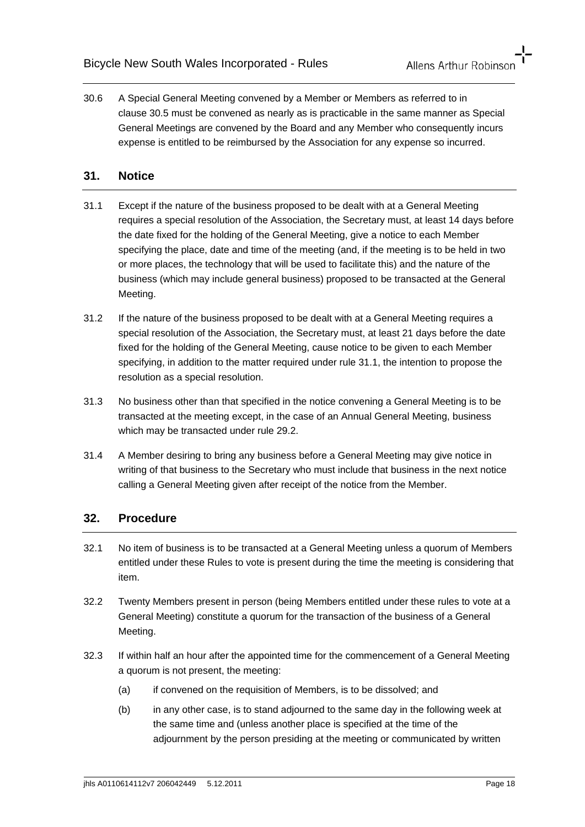30.6 A Special General Meeting convened by a Member or Members as referred to in clause 30.5 must be convened as nearly as is practicable in the same manner as Special General Meetings are convened by the Board and any Member who consequently incurs expense is entitled to be reimbursed by the Association for any expense so incurred.

## **31. Notice**

- 31.1 Except if the nature of the business proposed to be dealt with at a General Meeting requires a special resolution of the Association, the Secretary must, at least 14 days before the date fixed for the holding of the General Meeting, give a notice to each Member specifying the place, date and time of the meeting (and, if the meeting is to be held in two or more places, the technology that will be used to facilitate this) and the nature of the business (which may include general business) proposed to be transacted at the General Meeting.
- 31.2 If the nature of the business proposed to be dealt with at a General Meeting requires a special resolution of the Association, the Secretary must, at least 21 days before the date fixed for the holding of the General Meeting, cause notice to be given to each Member specifying, in addition to the matter required under rule 31.1, the intention to propose the resolution as a special resolution.
- 31.3 No business other than that specified in the notice convening a General Meeting is to be transacted at the meeting except, in the case of an Annual General Meeting, business which may be transacted under rule 29.2.
- 31.4 A Member desiring to bring any business before a General Meeting may give notice in writing of that business to the Secretary who must include that business in the next notice calling a General Meeting given after receipt of the notice from the Member.

# **32. Procedure**

- 32.1 No item of business is to be transacted at a General Meeting unless a quorum of Members entitled under these Rules to vote is present during the time the meeting is considering that item.
- 32.2 Twenty Members present in person (being Members entitled under these rules to vote at a General Meeting) constitute a quorum for the transaction of the business of a General Meeting.
- 32.3 If within half an hour after the appointed time for the commencement of a General Meeting a quorum is not present, the meeting:
	- (a) if convened on the requisition of Members, is to be dissolved; and
	- (b) in any other case, is to stand adjourned to the same day in the following week at the same time and (unless another place is specified at the time of the adjournment by the person presiding at the meeting or communicated by written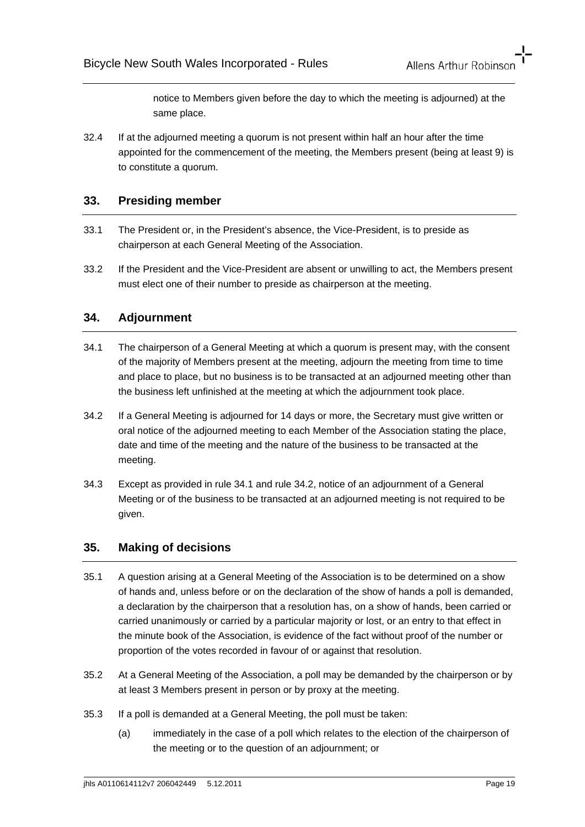notice to Members given before the day to which the meeting is adjourned) at the same place.

32.4 If at the adjourned meeting a quorum is not present within half an hour after the time appointed for the commencement of the meeting, the Members present (being at least 9) is to constitute a quorum.

# **33. Presiding member**

- 33.1 The President or, in the President's absence, the Vice-President, is to preside as chairperson at each General Meeting of the Association.
- 33.2 If the President and the Vice-President are absent or unwilling to act, the Members present must elect one of their number to preside as chairperson at the meeting.

# **34. Adjournment**

- 34.1 The chairperson of a General Meeting at which a quorum is present may, with the consent of the majority of Members present at the meeting, adjourn the meeting from time to time and place to place, but no business is to be transacted at an adjourned meeting other than the business left unfinished at the meeting at which the adjournment took place.
- 34.2 If a General Meeting is adjourned for 14 days or more, the Secretary must give written or oral notice of the adjourned meeting to each Member of the Association stating the place, date and time of the meeting and the nature of the business to be transacted at the meeting.
- 34.3 Except as provided in rule 34.1 and rule 34.2, notice of an adjournment of a General Meeting or of the business to be transacted at an adjourned meeting is not required to be given.

#### **35. Making of decisions**

- 35.1 A question arising at a General Meeting of the Association is to be determined on a show of hands and, unless before or on the declaration of the show of hands a poll is demanded, a declaration by the chairperson that a resolution has, on a show of hands, been carried or carried unanimously or carried by a particular majority or lost, or an entry to that effect in the minute book of the Association, is evidence of the fact without proof of the number or proportion of the votes recorded in favour of or against that resolution.
- 35.2 At a General Meeting of the Association, a poll may be demanded by the chairperson or by at least 3 Members present in person or by proxy at the meeting.
- 35.3 If a poll is demanded at a General Meeting, the poll must be taken:
	- (a) immediately in the case of a poll which relates to the election of the chairperson of the meeting or to the question of an adjournment; or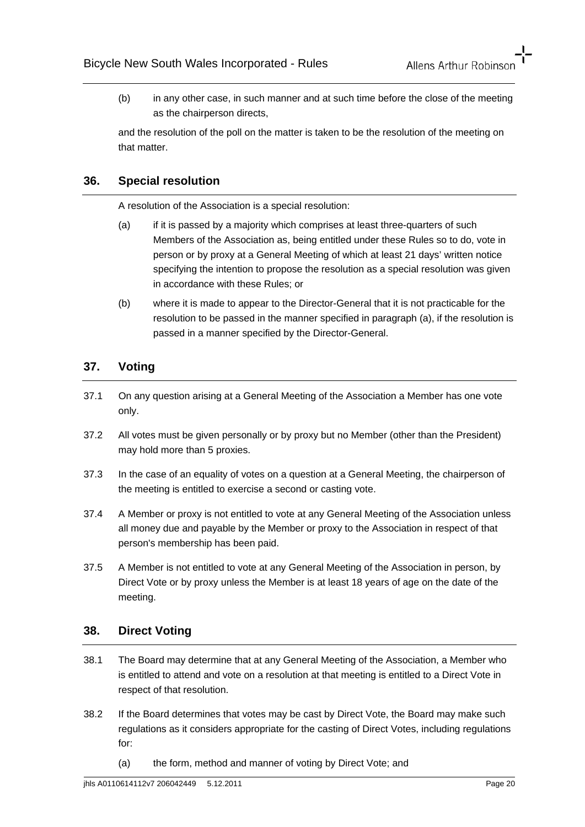(b) in any other case, in such manner and at such time before the close of the meeting as the chairperson directs,

and the resolution of the poll on the matter is taken to be the resolution of the meeting on that matter.

# **36. Special resolution**

A resolution of the Association is a special resolution:

- (a) if it is passed by a majority which comprises at least three-quarters of such Members of the Association as, being entitled under these Rules so to do, vote in person or by proxy at a General Meeting of which at least 21 days' written notice specifying the intention to propose the resolution as a special resolution was given in accordance with these Rules; or
- (b) where it is made to appear to the Director-General that it is not practicable for the resolution to be passed in the manner specified in paragraph (a), if the resolution is passed in a manner specified by the Director-General.

# **37. Voting**

- 37.1 On any question arising at a General Meeting of the Association a Member has one vote only.
- 37.2 All votes must be given personally or by proxy but no Member (other than the President) may hold more than 5 proxies.
- 37.3 In the case of an equality of votes on a question at a General Meeting, the chairperson of the meeting is entitled to exercise a second or casting vote.
- 37.4 A Member or proxy is not entitled to vote at any General Meeting of the Association unless all money due and payable by the Member or proxy to the Association in respect of that person's membership has been paid.
- 37.5 A Member is not entitled to vote at any General Meeting of the Association in person, by Direct Vote or by proxy unless the Member is at least 18 years of age on the date of the meeting.

# **38. Direct Voting**

- 38.1 The Board may determine that at any General Meeting of the Association, a Member who is entitled to attend and vote on a resolution at that meeting is entitled to a Direct Vote in respect of that resolution.
- 38.2 If the Board determines that votes may be cast by Direct Vote, the Board may make such regulations as it considers appropriate for the casting of Direct Votes, including regulations for:
	- (a) the form, method and manner of voting by Direct Vote; and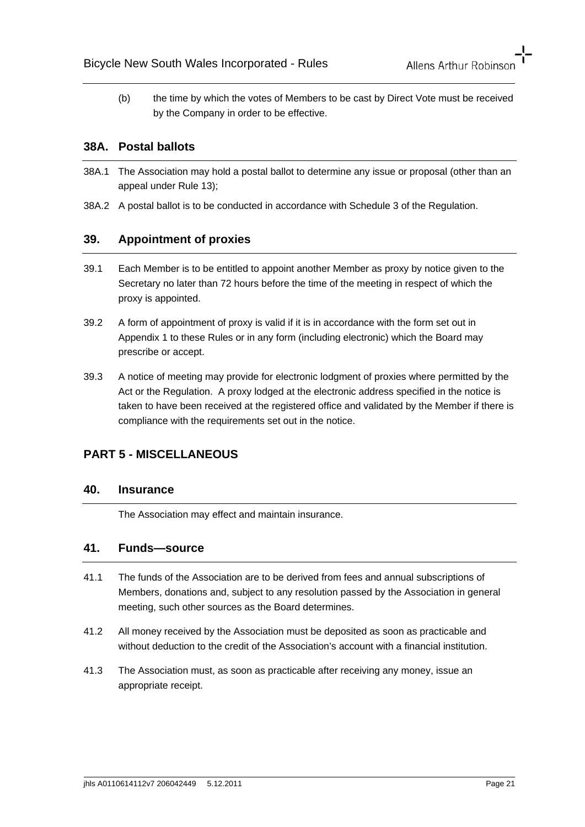(b) the time by which the votes of Members to be cast by Direct Vote must be received by the Company in order to be effective.

# **38A. Postal ballots**

- 38A.1 The Association may hold a postal ballot to determine any issue or proposal (other than an appeal under Rule 13);
- 38A.2 A postal ballot is to be conducted in accordance with Schedule 3 of the Regulation.

# **39. Appointment of proxies**

- 39.1 Each Member is to be entitled to appoint another Member as proxy by notice given to the Secretary no later than 72 hours before the time of the meeting in respect of which the proxy is appointed.
- 39.2 A form of appointment of proxy is valid if it is in accordance with the form set out in Appendix 1 to these Rules or in any form (including electronic) which the Board may prescribe or accept.
- 39.3 A notice of meeting may provide for electronic lodgment of proxies where permitted by the Act or the Regulation. A proxy lodged at the electronic address specified in the notice is taken to have been received at the registered office and validated by the Member if there is compliance with the requirements set out in the notice.

# **PART 5 - MISCELLANEOUS**

#### **40. Insurance**

The Association may effect and maintain insurance.

# **41. Funds—source**

- 41.1 The funds of the Association are to be derived from fees and annual subscriptions of Members, donations and, subject to any resolution passed by the Association in general meeting, such other sources as the Board determines.
- 41.2 All money received by the Association must be deposited as soon as practicable and without deduction to the credit of the Association's account with a financial institution.
- 41.3 The Association must, as soon as practicable after receiving any money, issue an appropriate receipt.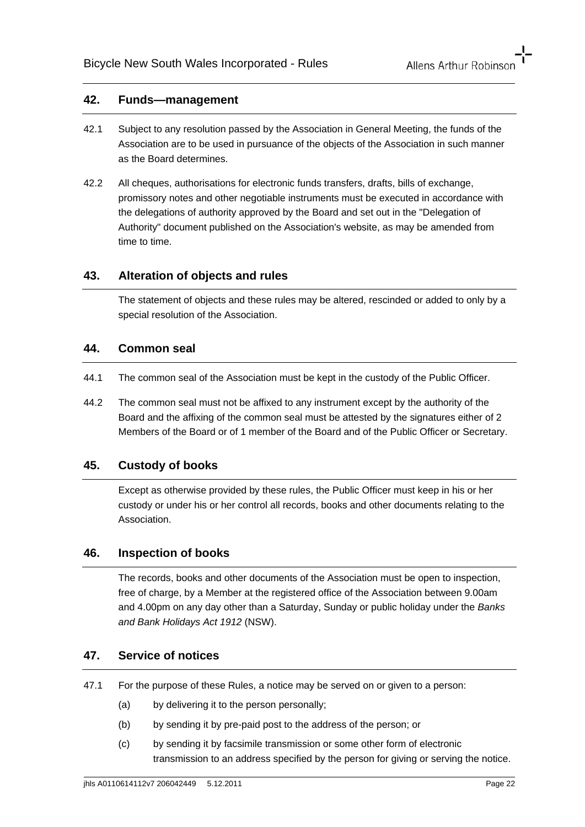#### **42. Funds—management**

- 42.1 Subject to any resolution passed by the Association in General Meeting, the funds of the Association are to be used in pursuance of the objects of the Association in such manner as the Board determines.
- 42.2 All cheques, authorisations for electronic funds transfers, drafts, bills of exchange, promissory notes and other negotiable instruments must be executed in accordance with the delegations of authority approved by the Board and set out in the "Delegation of Authority" document published on the Association's website, as may be amended from time to time.

### **43. Alteration of objects and rules**

The statement of objects and these rules may be altered, rescinded or added to only by a special resolution of the Association.

#### **44. Common seal**

- 44.1 The common seal of the Association must be kept in the custody of the Public Officer.
- 44.2 The common seal must not be affixed to any instrument except by the authority of the Board and the affixing of the common seal must be attested by the signatures either of 2 Members of the Board or of 1 member of the Board and of the Public Officer or Secretary.

# **45. Custody of books**

Except as otherwise provided by these rules, the Public Officer must keep in his or her custody or under his or her control all records, books and other documents relating to the Association.

#### **46. Inspection of books**

The records, books and other documents of the Association must be open to inspection, free of charge, by a Member at the registered office of the Association between 9.00am and 4.00pm on any day other than a Saturday, Sunday or public holiday under the *Banks and Bank Holidays Act 1912* (NSW).

#### **47. Service of notices**

- 47.1 For the purpose of these Rules, a notice may be served on or given to a person:
	- (a) by delivering it to the person personally;
	- (b) by sending it by pre-paid post to the address of the person; or
	- (c) by sending it by facsimile transmission or some other form of electronic transmission to an address specified by the person for giving or serving the notice.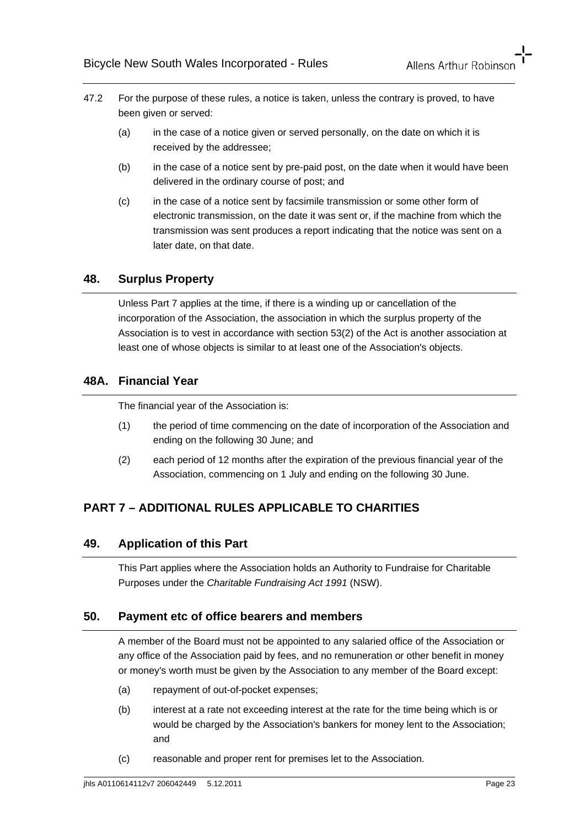- 47.2 For the purpose of these rules, a notice is taken, unless the contrary is proved, to have been given or served:
	- (a) in the case of a notice given or served personally, on the date on which it is received by the addressee;
	- (b) in the case of a notice sent by pre-paid post, on the date when it would have been delivered in the ordinary course of post; and
	- (c) in the case of a notice sent by facsimile transmission or some other form of electronic transmission, on the date it was sent or, if the machine from which the transmission was sent produces a report indicating that the notice was sent on a later date, on that date.

# **48. Surplus Property**

Unless Part 7 applies at the time, if there is a winding up or cancellation of the incorporation of the Association, the association in which the surplus property of the Association is to vest in accordance with section 53(2) of the Act is another association at least one of whose objects is similar to at least one of the Association's objects.

# **48A. Financial Year**

The financial year of the Association is:

- (1) the period of time commencing on the date of incorporation of the Association and ending on the following 30 June; and
- (2) each period of 12 months after the expiration of the previous financial year of the Association, commencing on 1 July and ending on the following 30 June.

# **PART 7 – ADDITIONAL RULES APPLICABLE TO CHARITIES**

#### **49. Application of this Part**

This Part applies where the Association holds an Authority to Fundraise for Charitable Purposes under the *Charitable Fundraising Act 1991* (NSW).

#### **50. Payment etc of office bearers and members**

A member of the Board must not be appointed to any salaried office of the Association or any office of the Association paid by fees, and no remuneration or other benefit in money or money's worth must be given by the Association to any member of the Board except:

- (a) repayment of out-of-pocket expenses;
- (b) interest at a rate not exceeding interest at the rate for the time being which is or would be charged by the Association's bankers for money lent to the Association; and
- (c) reasonable and proper rent for premises let to the Association.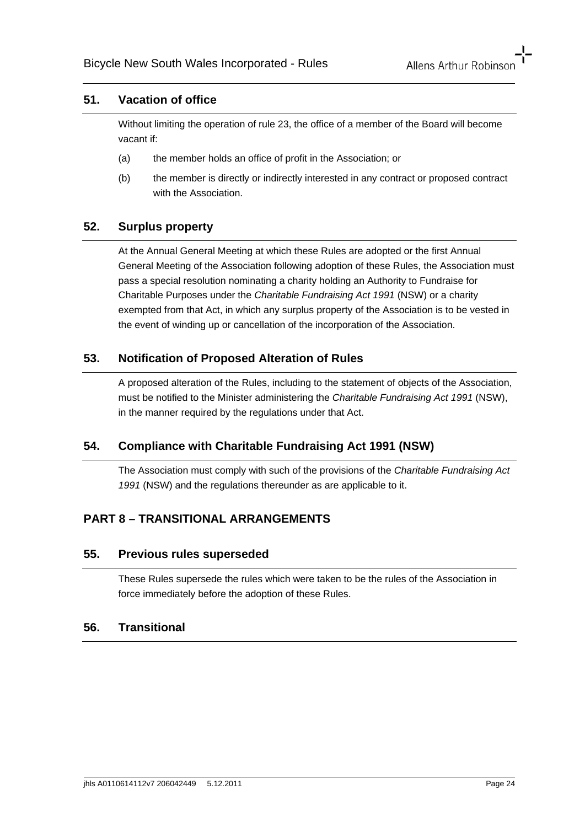## **51. Vacation of office**

Without limiting the operation of rule 23, the office of a member of the Board will become vacant if:

- (a) the member holds an office of profit in the Association; or
- (b) the member is directly or indirectly interested in any contract or proposed contract with the Association.

# **52. Surplus property**

At the Annual General Meeting at which these Rules are adopted or the first Annual General Meeting of the Association following adoption of these Rules, the Association must pass a special resolution nominating a charity holding an Authority to Fundraise for Charitable Purposes under the *Charitable Fundraising Act 1991* (NSW) or a charity exempted from that Act, in which any surplus property of the Association is to be vested in the event of winding up or cancellation of the incorporation of the Association.

# **53. Notification of Proposed Alteration of Rules**

A proposed alteration of the Rules, including to the statement of objects of the Association, must be notified to the Minister administering the *Charitable Fundraising Act 1991* (NSW), in the manner required by the regulations under that Act.

# **54. Compliance with Charitable Fundraising Act 1991 (NSW)**

The Association must comply with such of the provisions of the *Charitable Fundraising Act 1991* (NSW) and the regulations thereunder as are applicable to it.

# **PART 8 – TRANSITIONAL ARRANGEMENTS**

#### **55. Previous rules superseded**

These Rules supersede the rules which were taken to be the rules of the Association in force immediately before the adoption of these Rules.

#### **56. Transitional**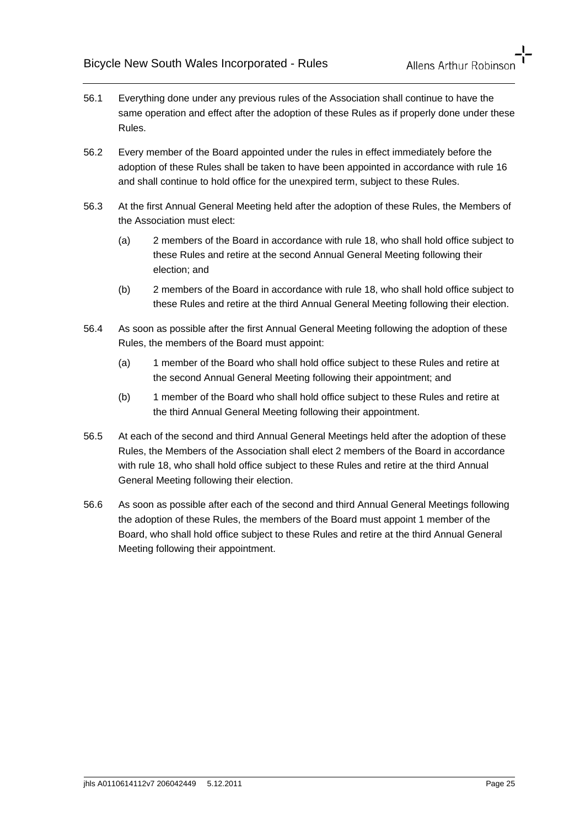- 56.1 Everything done under any previous rules of the Association shall continue to have the same operation and effect after the adoption of these Rules as if properly done under these Rules.
- 56.2 Every member of the Board appointed under the rules in effect immediately before the adoption of these Rules shall be taken to have been appointed in accordance with rule 16 and shall continue to hold office for the unexpired term, subject to these Rules.
- 56.3 At the first Annual General Meeting held after the adoption of these Rules, the Members of the Association must elect:
	- (a) 2 members of the Board in accordance with rule 18, who shall hold office subject to these Rules and retire at the second Annual General Meeting following their election; and
	- (b) 2 members of the Board in accordance with rule 18, who shall hold office subject to these Rules and retire at the third Annual General Meeting following their election.
- 56.4 As soon as possible after the first Annual General Meeting following the adoption of these Rules, the members of the Board must appoint:
	- (a) 1 member of the Board who shall hold office subject to these Rules and retire at the second Annual General Meeting following their appointment; and
	- (b) 1 member of the Board who shall hold office subject to these Rules and retire at the third Annual General Meeting following their appointment.
- 56.5 At each of the second and third Annual General Meetings held after the adoption of these Rules, the Members of the Association shall elect 2 members of the Board in accordance with rule 18, who shall hold office subject to these Rules and retire at the third Annual General Meeting following their election.
- 56.6 As soon as possible after each of the second and third Annual General Meetings following the adoption of these Rules, the members of the Board must appoint 1 member of the Board, who shall hold office subject to these Rules and retire at the third Annual General Meeting following their appointment.